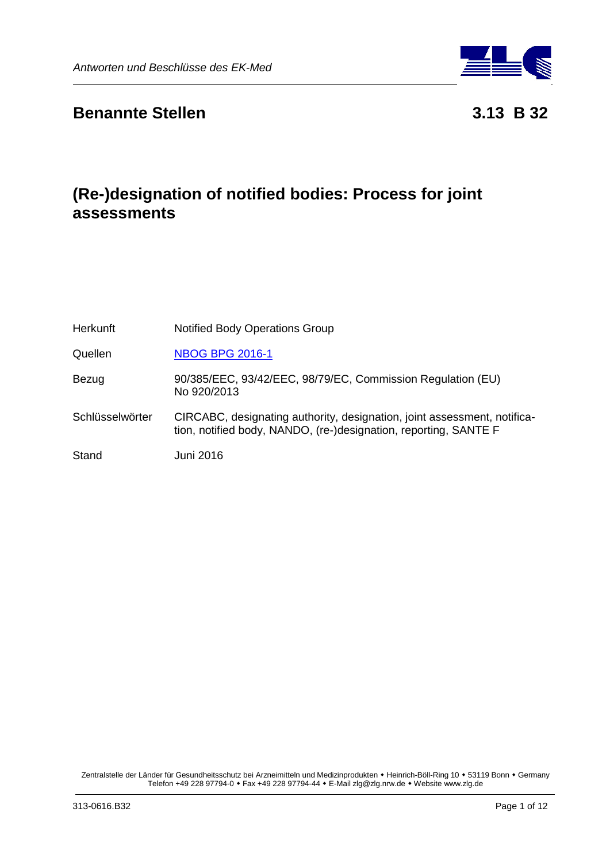

## **Benannte Stellen 3.13 B 32**

# **(Re-)designation of notified bodies: Process for joint assessments**

| <b>Herkunft</b> | <b>Notified Body Operations Group</b>                                                                                                        |
|-----------------|----------------------------------------------------------------------------------------------------------------------------------------------|
| Quellen         | <b>NBOG BPG 2016-1</b>                                                                                                                       |
| Bezug           | 90/385/EEC, 93/42/EEC, 98/79/EC, Commission Regulation (EU)<br>No 920/2013                                                                   |
| Schlüsselwörter | CIRCABC, designating authority, designation, joint assessment, notifica-<br>tion, notified body, NANDO, (re-)designation, reporting, SANTE F |
| Stand           | Juni 2016                                                                                                                                    |

Zentralstelle der Länder für Gesundheitsschutz bei Arzneimitteln und Medizinprodukten • Heinrich-Böll-Ring 10 • 53119 Bonn • Germany Telefon +49 228 97794-0 Fax +49 228 97794-44 E-Mail zlg@zlg.nrw.de Website www.zlg.de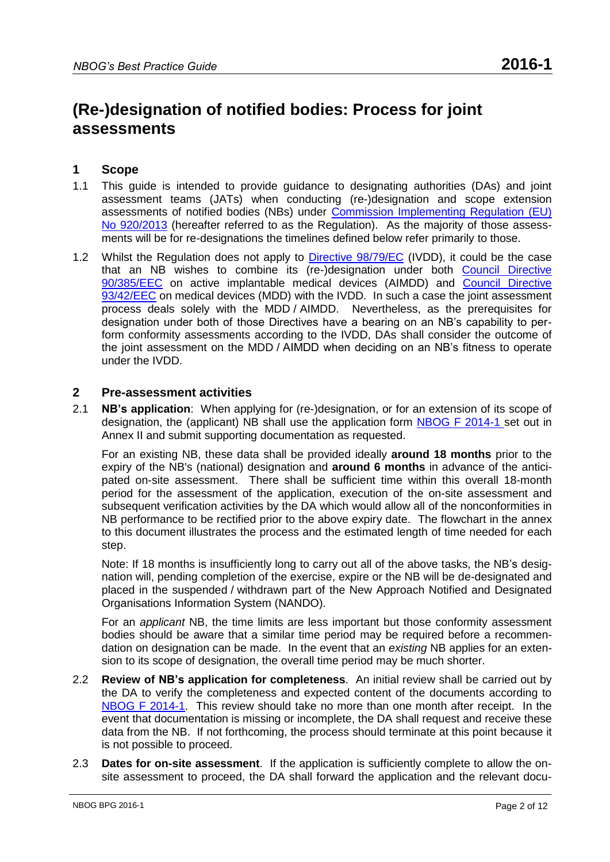# **(Re-)designation of notified bodies: Process for joint assessments**

## **1 Scope**

- 1.1 This guide is intended to provide guidance to designating authorities (DAs) and joint assessment teams (JATs) when conducting (re-)designation and scope extension assessments of notified bodies (NBs) under [Commission Implementing Regulation \(EU\)](http://eur-lex.europa.eu/LexUriServ/LexUriServ.do?uri=OJ:L:2013:253:0008:0019:EN:PDF)  [No 920/2013](http://eur-lex.europa.eu/LexUriServ/LexUriServ.do?uri=OJ:L:2013:253:0008:0019:EN:PDF) (hereafter referred to as the Regulation). As the majority of those assessments will be for re-designations the timelines defined below refer primarily to those.
- 1.2 Whilst the Regulation does not apply to **Directive 98/79/EC** (IVDD), it could be the case that an NB wishes to combine its (re-)designation under both [Council Directive](http://eur-lex.europa.eu/LexUriServ/LexUriServ.do?uri=CONSLEG:1990L0385:20071011:EN:PDF)  [90/385/EEC](http://eur-lex.europa.eu/LexUriServ/LexUriServ.do?uri=CONSLEG:1990L0385:20071011:EN:PDF) on active implantable medical devices (AIMDD) and [Council Directive](http://eur-lex.europa.eu/LexUriServ/LexUriServ.do?uri=CONSLEG:1993L0042:20071011:EN:PDF)  [93/42/EEC](http://eur-lex.europa.eu/LexUriServ/LexUriServ.do?uri=CONSLEG:1993L0042:20071011:EN:PDF) on medical devices (MDD) with the IVDD. In such a case the joint assessment process deals solely with the MDD / AIMDD. Nevertheless, as the prerequisites for designation under both of those Directives have a bearing on an NB's capability to perform conformity assessments according to the IVDD, DAs shall consider the outcome of the joint assessment on the MDD / AIMDD when deciding on an NB's fitness to operate under the IVDD.

#### **2 Pre-assessment activities**

2.1 **NB's application**:When applying for (re-)designation, or for an extension of its scope of designation, the (applicant) NB shall use the application form [NBOG F 2014-1](http://www.nbog.eu/resources/NBOG_F_2014_1.doc) set out in Annex II and submit supporting documentation as requested.

For an existing NB, these data shall be provided ideally **around 18 months** prior to the expiry of the NB's (national) designation and **around 6 months** in advance of the anticipated on-site assessment. There shall be sufficient time within this overall 18-month period for the assessment of the application, execution of the on-site assessment and subsequent verification activities by the DA which would allow all of the nonconformities in NB performance to be rectified prior to the above expiry date. The flowchart in the annex to this document illustrates the process and the estimated length of time needed for each step.

Note: If 18 months is insufficiently long to carry out all of the above tasks, the NB's designation will, pending completion of the exercise, expire or the NB will be de-designated and placed in the suspended / withdrawn part of the New Approach Notified and Designated Organisations Information System (NANDO).

For an *applicant* NB, the time limits are less important but those conformity assessment bodies should be aware that a similar time period may be required before a recommendation on designation can be made. In the event that an *existing* NB applies for an extension to its scope of designation, the overall time period may be much shorter.

- 2.2 **Review of NB's application for completeness**. An initial review shall be carried out by the DA to verify the completeness and expected content of the documents according to [NBOG F 2014-1.](http://www.nbog.eu/resources/NBOG_F_2014_1.doc) This review should take no more than one month after receipt. In the event that documentation is missing or incomplete, the DA shall request and receive these data from the NB. If not forthcoming, the process should terminate at this point because it is not possible to proceed.
- 2.3 **Dates for on-site assessment**. If the application is sufficiently complete to allow the onsite assessment to proceed, the DA shall forward the application and the relevant docu-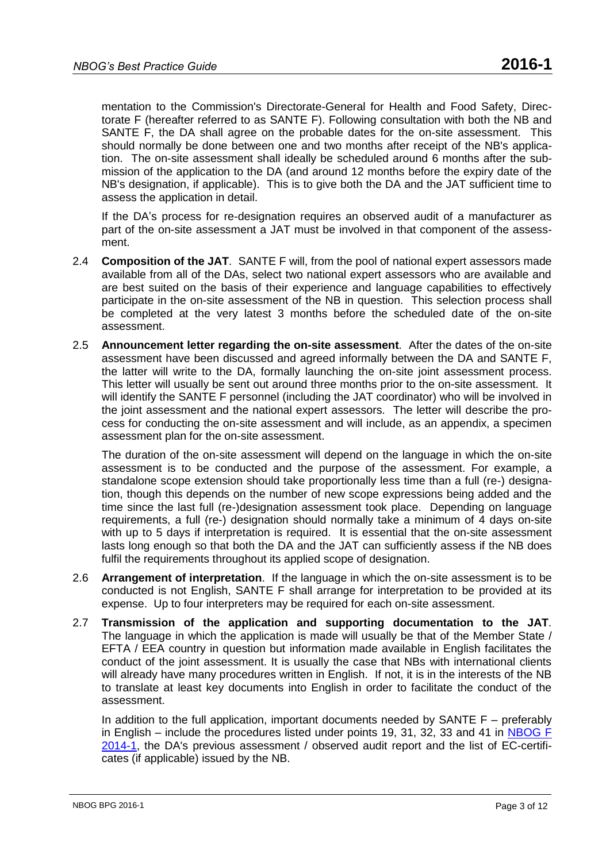mentation to the Commission's Directorate-General for Health and Food Safety, Directorate F (hereafter referred to as SANTE F). Following consultation with both the NB and SANTE F, the DA shall agree on the probable dates for the on-site assessment. This should normally be done between one and two months after receipt of the NB's application. The on-site assessment shall ideally be scheduled around 6 months after the submission of the application to the DA (and around 12 months before the expiry date of the NB's designation, if applicable). This is to give both the DA and the JAT sufficient time to assess the application in detail.

If the DA's process for re-designation requires an observed audit of a manufacturer as part of the on-site assessment a JAT must be involved in that component of the assessment.

- 2.4 **Composition of the JAT**. SANTE F will, from the pool of national expert assessors made available from all of the DAs, select two national expert assessors who are available and are best suited on the basis of their experience and language capabilities to effectively participate in the on-site assessment of the NB in question. This selection process shall be completed at the very latest 3 months before the scheduled date of the on-site assessment.
- 2.5 **Announcement letter regarding the on-site assessment**. After the dates of the on-site assessment have been discussed and agreed informally between the DA and SANTE F, the latter will write to the DA, formally launching the on-site joint assessment process. This letter will usually be sent out around three months prior to the on-site assessment. It will identify the SANTE F personnel (including the JAT coordinator) who will be involved in the joint assessment and the national expert assessors. The letter will describe the process for conducting the on-site assessment and will include, as an appendix, a specimen assessment plan for the on-site assessment.

The duration of the on-site assessment will depend on the language in which the on-site assessment is to be conducted and the purpose of the assessment. For example, a standalone scope extension should take proportionally less time than a full (re-) designation, though this depends on the number of new scope expressions being added and the time since the last full (re-)designation assessment took place. Depending on language requirements, a full (re-) designation should normally take a minimum of 4 days on-site with up to 5 days if interpretation is required. It is essential that the on-site assessment lasts long enough so that both the DA and the JAT can sufficiently assess if the NB does fulfil the requirements throughout its applied scope of designation.

- 2.6 **Arrangement of interpretation**. If the language in which the on-site assessment is to be conducted is not English, SANTE F shall arrange for interpretation to be provided at its expense. Up to four interpreters may be required for each on-site assessment.
- 2.7 **Transmission of the application and supporting documentation to the JAT**. The language in which the application is made will usually be that of the Member State / EFTA / EEA country in question but information made available in English facilitates the conduct of the joint assessment. It is usually the case that NBs with international clients will already have many procedures written in English. If not, it is in the interests of the NB to translate at least key documents into English in order to facilitate the conduct of the assessment.

In addition to the full application, important documents needed by SANTE  $F -$  preferably in English – include the procedures listed under points 19, 31, 32, 33 and 41 in [NBOG F](http://www.nbog.eu/resources/NBOG_F_2014_1.doc)  [2014-1,](http://www.nbog.eu/resources/NBOG_F_2014_1.doc) the DA's previous assessment / observed audit report and the list of EC-certificates (if applicable) issued by the NB.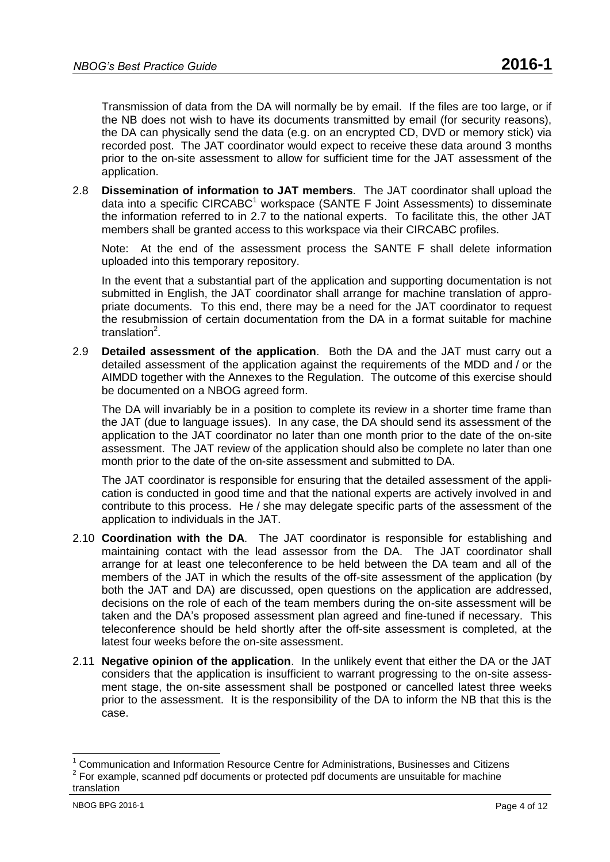Transmission of data from the DA will normally be by email. If the files are too large, or if the NB does not wish to have its documents transmitted by email (for security reasons), the DA can physically send the data (e.g. on an encrypted CD, DVD or memory stick) via recorded post. The JAT coordinator would expect to receive these data around 3 months prior to the on-site assessment to allow for sufficient time for the JAT assessment of the application.

2.8 **Dissemination of information to JAT members**. The JAT coordinator shall upload the data into a specific CIRCABC<sup>1</sup> workspace (SANTE F Joint Assessments) to disseminate the information referred to in 2.7 to the national experts. To facilitate this, the other JAT members shall be granted access to this workspace via their CIRCABC profiles.

Note: At the end of the assessment process the SANTE F shall delete information uploaded into this temporary repository.

In the event that a substantial part of the application and supporting documentation is not submitted in English, the JAT coordinator shall arrange for machine translation of appropriate documents. To this end, there may be a need for the JAT coordinator to request the resubmission of certain documentation from the DA in a format suitable for machine translation<sup>2</sup>.

2.9 **Detailed assessment of the application**. Both the DA and the JAT must carry out a detailed assessment of the application against the requirements of the MDD and / or the AIMDD together with the Annexes to the Regulation. The outcome of this exercise should be documented on a NBOG agreed form.

The DA will invariably be in a position to complete its review in a shorter time frame than the JAT (due to language issues). In any case, the DA should send its assessment of the application to the JAT coordinator no later than one month prior to the date of the on-site assessment. The JAT review of the application should also be complete no later than one month prior to the date of the on-site assessment and submitted to DA.

The JAT coordinator is responsible for ensuring that the detailed assessment of the application is conducted in good time and that the national experts are actively involved in and contribute to this process. He / she may delegate specific parts of the assessment of the application to individuals in the JAT.

- 2.10 **Coordination with the DA**. The JAT coordinator is responsible for establishing and maintaining contact with the lead assessor from the DA. The JAT coordinator shall arrange for at least one teleconference to be held between the DA team and all of the members of the JAT in which the results of the off-site assessment of the application (by both the JAT and DA) are discussed, open questions on the application are addressed, decisions on the role of each of the team members during the on-site assessment will be taken and the DA's proposed assessment plan agreed and fine-tuned if necessary. This teleconference should be held shortly after the off-site assessment is completed, at the latest four weeks before the on-site assessment.
- 2.11 **Negative opinion of the application**. In the unlikely event that either the DA or the JAT considers that the application is insufficient to warrant progressing to the on-site assessment stage, the on-site assessment shall be postponed or cancelled latest three weeks prior to the assessment. It is the responsibility of the DA to inform the NB that this is the case.

 $\overline{\phantom{a}}$ 

 $1$  Communication and Information Resource Centre for Administrations, Businesses and Citizens

 $2$  For example, scanned pdf documents or protected pdf documents are unsuitable for machine translation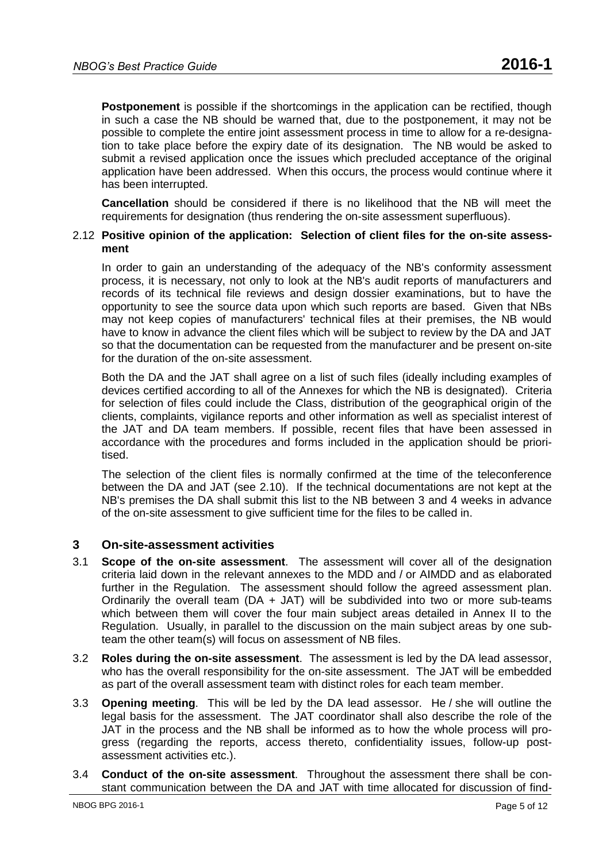**Postponement** is possible if the shortcomings in the application can be rectified, though in such a case the NB should be warned that, due to the postponement, it may not be possible to complete the entire joint assessment process in time to allow for a re-designation to take place before the expiry date of its designation. The NB would be asked to submit a revised application once the issues which precluded acceptance of the original application have been addressed. When this occurs, the process would continue where it has been interrupted.

**Cancellation** should be considered if there is no likelihood that the NB will meet the requirements for designation (thus rendering the on-site assessment superfluous).

#### 2.12 **Positive opinion of the application: Selection of client files for the on-site assessment**

In order to gain an understanding of the adequacy of the NB's conformity assessment process, it is necessary, not only to look at the NB's audit reports of manufacturers and records of its technical file reviews and design dossier examinations, but to have the opportunity to see the source data upon which such reports are based. Given that NBs may not keep copies of manufacturers' technical files at their premises, the NB would have to know in advance the client files which will be subject to review by the DA and JAT so that the documentation can be requested from the manufacturer and be present on-site for the duration of the on-site assessment.

Both the DA and the JAT shall agree on a list of such files (ideally including examples of devices certified according to all of the Annexes for which the NB is designated). Criteria for selection of files could include the Class, distribution of the geographical origin of the clients, complaints, vigilance reports and other information as well as specialist interest of the JAT and DA team members. If possible, recent files that have been assessed in accordance with the procedures and forms included in the application should be prioritised.

The selection of the client files is normally confirmed at the time of the teleconference between the DA and JAT (see 2.10). If the technical documentations are not kept at the NB's premises the DA shall submit this list to the NB between 3 and 4 weeks in advance of the on-site assessment to give sufficient time for the files to be called in.

#### **3 On-site-assessment activities**

- 3.1 **Scope of the on-site assessment**. The assessment will cover all of the designation criteria laid down in the relevant annexes to the MDD and / or AIMDD and as elaborated further in the Regulation. The assessment should follow the agreed assessment plan. Ordinarily the overall team ( $DA + JAT$ ) will be subdivided into two or more sub-teams which between them will cover the four main subject areas detailed in Annex II to the Regulation. Usually, in parallel to the discussion on the main subject areas by one subteam the other team(s) will focus on assessment of NB files.
- 3.2 **Roles during the on-site assessment**. The assessment is led by the DA lead assessor, who has the overall responsibility for the on-site assessment. The JAT will be embedded as part of the overall assessment team with distinct roles for each team member.
- 3.3 **Opening meeting**. This will be led by the DA lead assessor. He / she will outline the legal basis for the assessment. The JAT coordinator shall also describe the role of the JAT in the process and the NB shall be informed as to how the whole process will progress (regarding the reports, access thereto, confidentiality issues, follow-up postassessment activities etc.).
- 3.4 **Conduct of the on-site assessment**. Throughout the assessment there shall be constant communication between the DA and JAT with time allocated for discussion of find-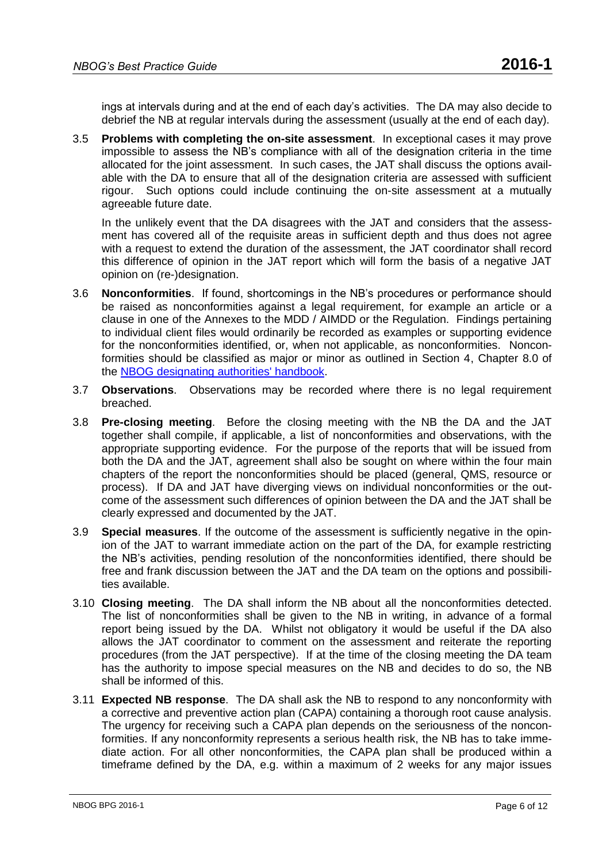ings at intervals during and at the end of each day's activities. The DA may also decide to debrief the NB at regular intervals during the assessment (usually at the end of each day).

3.5 **Problems with completing the on-site assessment**. In exceptional cases it may prove impossible to assess the NB's compliance with all of the designation criteria in the time allocated for the joint assessment. In such cases, the JAT shall discuss the options available with the DA to ensure that all of the designation criteria are assessed with sufficient rigour. Such options could include continuing the on-site assessment at a mutually agreeable future date.

In the unlikely event that the DA disagrees with the JAT and considers that the assessment has covered all of the requisite areas in sufficient depth and thus does not agree with a request to extend the duration of the assessment, the JAT coordinator shall record this difference of opinion in the JAT report which will form the basis of a negative JAT opinion on (re-)designation.

- 3.6 **Nonconformities**. If found, shortcomings in the NB's procedures or performance should be raised as nonconformities against a legal requirement, for example an article or a clause in one of the Annexes to the MDD / AIMDD or the Regulation. Findings pertaining to individual client files would ordinarily be recorded as examples or supporting evidence for the nonconformities identified, or, when not applicable, as nonconformities. Nonconformities should be classified as major or minor as outlined in Section 4, Chapter 8.0 of the [NBOG designating authorities' handbook.](http://www.nbog.eu/resources/da_handbook.pdf)
- 3.7 **Observations**. Observations may be recorded where there is no legal requirement breached.
- 3.8 **Pre-closing meeting**. Before the closing meeting with the NB the DA and the JAT together shall compile, if applicable, a list of nonconformities and observations, with the appropriate supporting evidence. For the purpose of the reports that will be issued from both the DA and the JAT, agreement shall also be sought on where within the four main chapters of the report the nonconformities should be placed (general, QMS, resource or process). If DA and JAT have diverging views on individual nonconformities or the outcome of the assessment such differences of opinion between the DA and the JAT shall be clearly expressed and documented by the JAT.
- 3.9 **Special measures**. If the outcome of the assessment is sufficiently negative in the opinion of the JAT to warrant immediate action on the part of the DA, for example restricting the NB's activities, pending resolution of the nonconformities identified, there should be free and frank discussion between the JAT and the DA team on the options and possibilities available.
- 3.10 **Closing meeting**. The DA shall inform the NB about all the nonconformities detected. The list of nonconformities shall be given to the NB in writing, in advance of a formal report being issued by the DA. Whilst not obligatory it would be useful if the DA also allows the JAT coordinator to comment on the assessment and reiterate the reporting procedures (from the JAT perspective). If at the time of the closing meeting the DA team has the authority to impose special measures on the NB and decides to do so, the NB shall be informed of this.
- 3.11 **Expected NB response**. The DA shall ask the NB to respond to any nonconformity with a corrective and preventive action plan (CAPA) containing a thorough root cause analysis. The urgency for receiving such a CAPA plan depends on the seriousness of the nonconformities. If any nonconformity represents a serious health risk, the NB has to take immediate action. For all other nonconformities, the CAPA plan shall be produced within a timeframe defined by the DA, e.g. within a maximum of 2 weeks for any major issues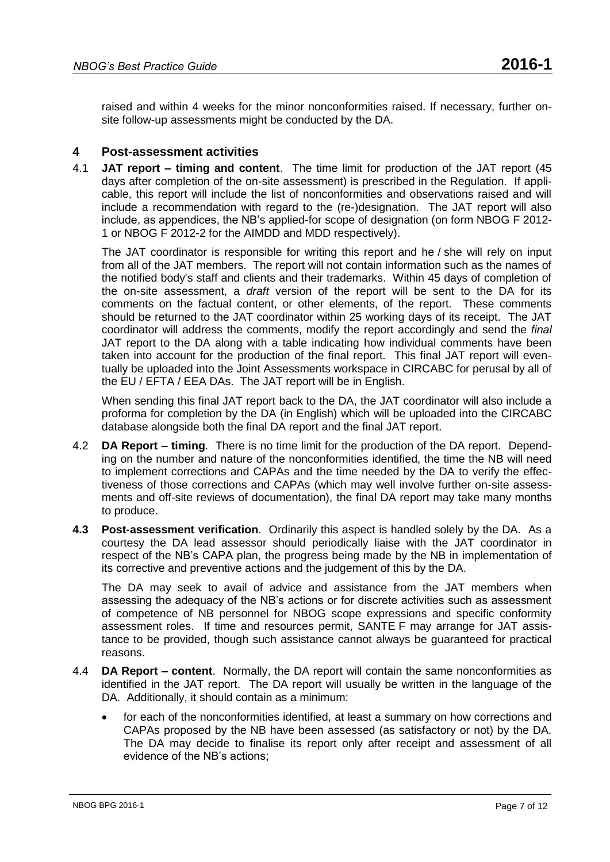raised and within 4 weeks for the minor nonconformities raised. If necessary, further onsite follow-up assessments might be conducted by the DA.

### **4 Post-assessment activities**

4.1 **JAT report – timing and content**. The time limit for production of the JAT report (45 days after completion of the on-site assessment) is prescribed in the Regulation. If applicable, this report will include the list of nonconformities and observations raised and will include a recommendation with regard to the (re-)designation. The JAT report will also include, as appendices, the NB's applied-for scope of designation (on form NBOG F 2012- 1 or NBOG F 2012-2 for the AIMDD and MDD respectively).

The JAT coordinator is responsible for writing this report and he / she will rely on input from all of the JAT members. The report will not contain information such as the names of the notified body's staff and clients and their trademarks. Within 45 days of completion of the on-site assessment, a *draft* version of the report will be sent to the DA for its comments on the factual content, or other elements, of the report. These comments should be returned to the JAT coordinator within 25 working days of its receipt. The JAT coordinator will address the comments, modify the report accordingly and send the *final* JAT report to the DA along with a table indicating how individual comments have been taken into account for the production of the final report. This final JAT report will eventually be uploaded into the Joint Assessments workspace in CIRCABC for perusal by all of the EU / EFTA / EEA DAs. The JAT report will be in English.

When sending this final JAT report back to the DA, the JAT coordinator will also include a proforma for completion by the DA (in English) which will be uploaded into the CIRCABC database alongside both the final DA report and the final JAT report.

- 4.2 **DA Report – timing**. There is no time limit for the production of the DA report. Depending on the number and nature of the nonconformities identified, the time the NB will need to implement corrections and CAPAs and the time needed by the DA to verify the effectiveness of those corrections and CAPAs (which may well involve further on-site assessments and off-site reviews of documentation), the final DA report may take many months to produce.
- **4.3 Post-assessment verification**. Ordinarily this aspect is handled solely by the DA. As a courtesy the DA lead assessor should periodically liaise with the JAT coordinator in respect of the NB's CAPA plan, the progress being made by the NB in implementation of its corrective and preventive actions and the judgement of this by the DA.

The DA may seek to avail of advice and assistance from the JAT members when assessing the adequacy of the NB's actions or for discrete activities such as assessment of competence of NB personnel for NBOG scope expressions and specific conformity assessment roles. If time and resources permit, SANTE F may arrange for JAT assistance to be provided, though such assistance cannot always be guaranteed for practical reasons.

- 4.4 **DA Report – content**. Normally, the DA report will contain the same nonconformities as identified in the JAT report. The DA report will usually be written in the language of the DA. Additionally, it should contain as a minimum:
	- for each of the nonconformities identified, at least a summary on how corrections and CAPAs proposed by the NB have been assessed (as satisfactory or not) by the DA. The DA may decide to finalise its report only after receipt and assessment of all evidence of the NB's actions;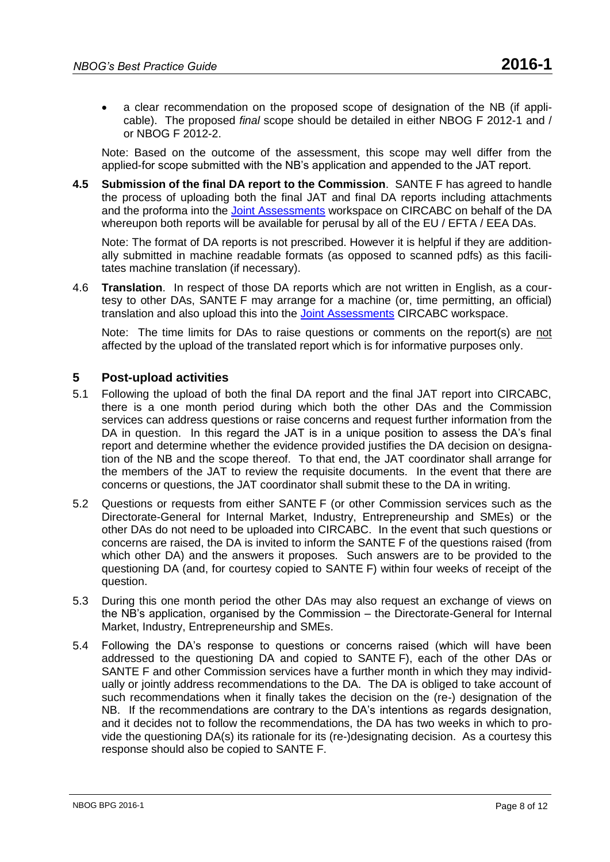a clear recommendation on the proposed scope of designation of the NB (if applicable). The proposed *final* scope should be detailed in either [NBOG F 2012-1](http://www.nbog.eu/resources/NBOG_F_2012_1.doc) and / or NBOG F [2012-2.](http://www.nbog.eu/resources/NBOG_F_2012_2.doc)

Note: Based on the outcome of the assessment, this scope may well differ from the applied-for scope submitted with the NB's application and appended to the JAT report.

**4.5 Submission of the final DA report to the Commission**. SANTE F has agreed to handle the process of uploading both the final JAT and final DA reports including attachments and the proforma into the [Joint Assessments](https://circabc.europa.eu/w/browse/db0b3d0c-e537-4f96-8e20-3f79bfc0751b) workspace on CIRCABC on behalf of the DA whereupon both reports will be available for perusal by all of the EU / EFTA / EEA DAs.

Note: The format of DA reports is not prescribed. However it is helpful if they are additionally submitted in machine readable formats (as opposed to scanned pdfs) as this facilitates machine translation (if necessary).

4.6 **Translation**. In respect of those DA reports which are not written in English, as a courtesy to other DAs, SANTE F may arrange for a machine (or, time permitting, an official) translation and also upload this into the [Joint Assessments](https://circabc.europa.eu/w/browse/db0b3d0c-e537-4f96-8e20-3f79bfc0751b) CIRCABC workspace.

Note: The time limits for DAs to raise questions or comments on the report(s) are not affected by the upload of the translated report which is for informative purposes only.

#### **5 Post-upload activities**

- 5.1 Following the upload of both the final DA report and the final JAT report into CIRCABC, there is a one month period during which both the other DAs and the Commission services can address questions or raise concerns and request further information from the DA in question. In this regard the JAT is in a unique position to assess the DA's final report and determine whether the evidence provided justifies the DA decision on designation of the NB and the scope thereof. To that end, the JAT coordinator shall arrange for the members of the JAT to review the requisite documents. In the event that there are concerns or questions, the JAT coordinator shall submit these to the DA in writing.
- 5.2 Questions or requests from either SANTE F (or other Commission services such as the Directorate-General for Internal Market, Industry, Entrepreneurship and SMEs) or the other DAs do not need to be uploaded into CIRCABC. In the event that such questions or concerns are raised, the DA is invited to inform the SANTE F of the questions raised (from which other DA) and the answers it proposes. Such answers are to be provided to the questioning DA (and, for courtesy copied to SANTE F) within four weeks of receipt of the question.
- 5.3 During this one month period the other DAs may also request an exchange of views on the NB's application, organised by the Commission – the Directorate-General for Internal Market, Industry, Entrepreneurship and SMEs.
- 5.4 Following the DA's response to questions or concerns raised (which will have been addressed to the questioning DA and copied to SANTE F), each of the other DAs or SANTE F and other Commission services have a further month in which they may individually or jointly address recommendations to the DA. The DA is obliged to take account of such recommendations when it finally takes the decision on the (re-) designation of the NB. If the recommendations are contrary to the DA's intentions as regards designation, and it decides not to follow the recommendations, the DA has two weeks in which to provide the questioning DA(s) its rationale for its (re-)designating decision. As a courtesy this response should also be copied to SANTE F.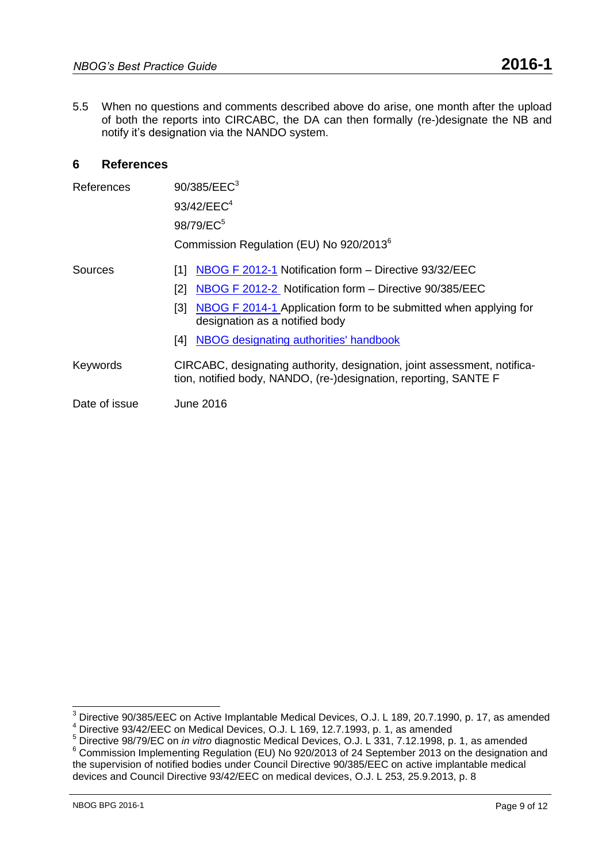5.5 When no questions and comments described above do arise, one month after the upload of both the reports into CIRCABC, the DA can then formally (re-)designate the NB and notify it's designation via the NANDO system.

### **6 References**

| <b>References</b> | 90/385/EEC <sup>3</sup>                                                                                                                      |
|-------------------|----------------------------------------------------------------------------------------------------------------------------------------------|
|                   | 93/42/EEC <sup>4</sup>                                                                                                                       |
|                   | 98/79/EC <sup>5</sup>                                                                                                                        |
|                   | Commission Regulation (EU) No 920/2013 <sup>6</sup>                                                                                          |
| Sources           | NBOG F 2012-1 Notification form - Directive 93/32/EEC<br>11 I                                                                                |
|                   | NBOG F 2012-2 Notification form - Directive 90/385/EEC<br>[2]                                                                                |
|                   | NBOG F 2014-1 Application form to be submitted when applying for<br>[3]<br>designation as a notified body                                    |
|                   | NBOG designating authorities' handbook<br>[4]                                                                                                |
| Keywords          | CIRCABC, designating authority, designation, joint assessment, notifica-<br>tion, notified body, NANDO, (re-)designation, reporting, SANTE F |
| Date of issue     | June 2016                                                                                                                                    |

 $^3$  Directive 90/385/EEC on Active Implantable Medical Devices, O.J. L 189, 20.7.1990, p. 17, as amended Birective 90/00/EEC on Medical Devices, O.J. L 169, 12.7.1993, p. 1, as amended

<sup>5</sup> Directive 98/79/EC on *in vitro* diagnostic Medical Devices, O.J. L 331, 7.12.1998, p. 1, as amended

<sup>&</sup>lt;sup>6</sup> Commission Implementing Regulation (EU) No 920/2013 of 24 September 2013 on the designation and the supervision of notified bodies under Council Directive 90/385/EEC on active implantable medical devices and Council Directive 93/42/EEC on medical devices, O.J. L 253, 25.9.2013, p. 8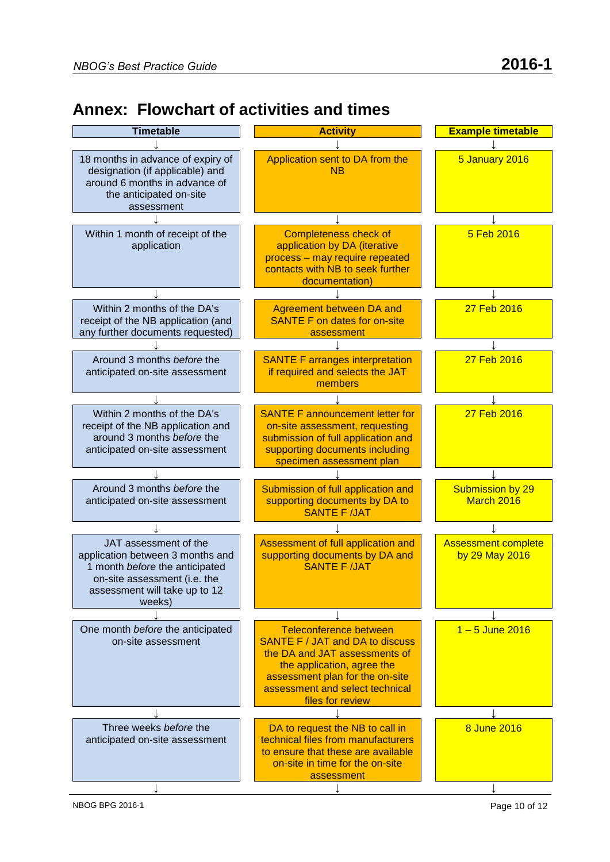## **Annex: Flowchart of activities and times**

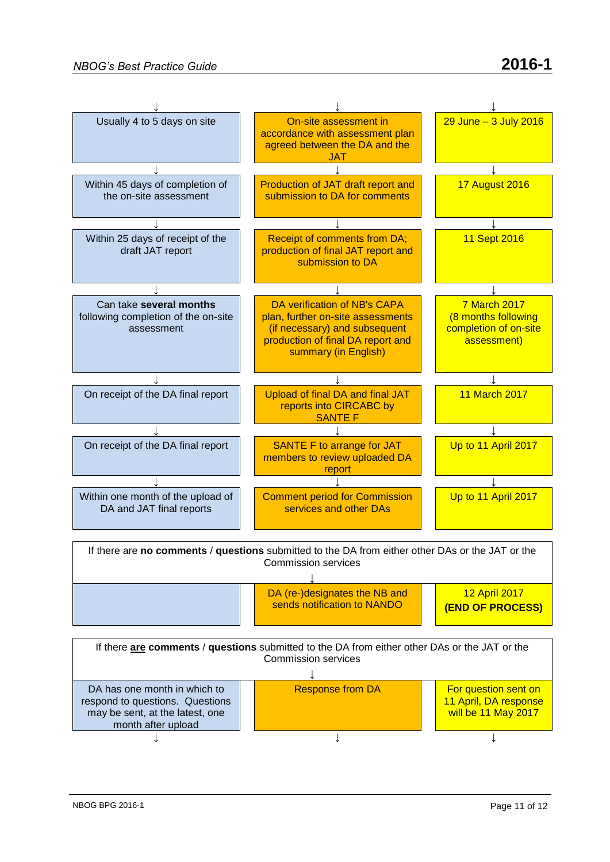

↓ ↓ ↓